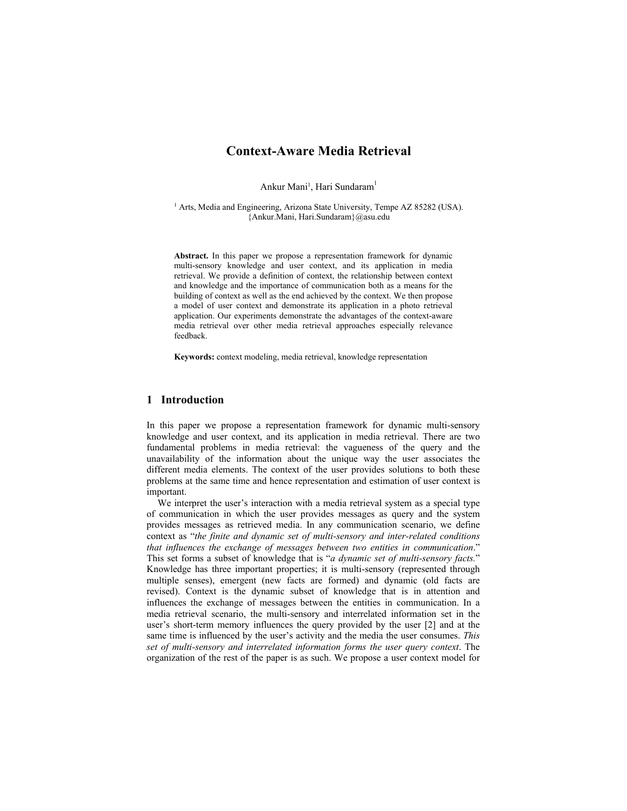# **Context-Aware Media Retrieval**

Ankur Mani<sup>1</sup>, Hari Sundaram<sup>1</sup>

<sup>1</sup> Arts, Media and Engineering, Arizona State University, Tempe AZ 85282 (USA). {Ankur.Mani, Hari.Sundaram}@asu.edu

**Abstract.** In this paper we propose a representation framework for dynamic multi-sensory knowledge and user context, and its application in media retrieval. We provide a definition of context, the relationship between context and knowledge and the importance of communication both as a means for the building of context as well as the end achieved by the context. We then propose a model of user context and demonstrate its application in a photo retrieval application. Our experiments demonstrate the advantages of the context-aware media retrieval over other media retrieval approaches especially relevance feedback.

**Keywords:** context modeling, media retrieval, knowledge representation

# **1 Introduction**

In this paper we propose a representation framework for dynamic multi-sensory knowledge and user context, and its application in media retrieval. There are two fundamental problems in media retrieval: the vagueness of the query and the unavailability of the information about the unique way the user associates the different media elements. The context of the user provides solutions to both these problems at the same time and hence representation and estimation of user context is important.

We interpret the user's interaction with a media retrieval system as a special type of communication in which the user provides messages as query and the system provides messages as retrieved media. In any communication scenario, we define context as "*the finite and dynamic set of multi-sensory and inter-related conditions that influences the exchange of messages between two entities in communication*." This set forms a subset of knowledge that is "*a dynamic set of multi-sensory facts.*" Knowledge has three important properties; it is multi-sensory (represented through multiple senses), emergent (new facts are formed) and dynamic (old facts are revised). Context is the dynamic subset of knowledge that is in attention and influences the exchange of messages between the entities in communication. In a media retrieval scenario, the multi-sensory and interrelated information set in the user's short-term memory influences the query provided by the user [2] and at the same time is influenced by the user's activity and the media the user consumes. *This set of multi-sensory and interrelated information forms the user query context*. The organization of the rest of the paper is as such. We propose a user context model for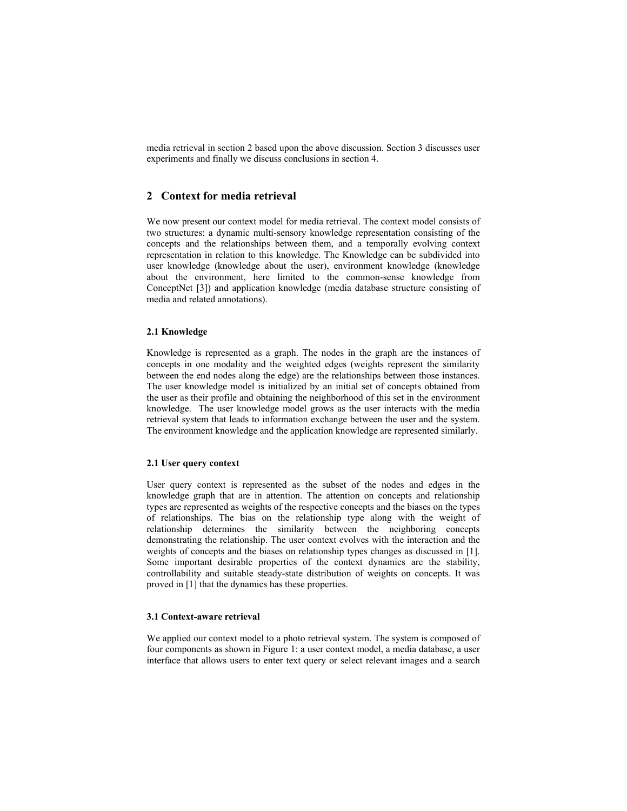media retrieval in section 2 based upon the above discussion. Section 3 discusses user experiments and finally we discuss conclusions in section 4.

# **2 Context for media retrieval**

We now present our context model for media retrieval. The context model consists of two structures: a dynamic multi-sensory knowledge representation consisting of the concepts and the relationships between them, and a temporally evolving context representation in relation to this knowledge. The Knowledge can be subdivided into user knowledge (knowledge about the user), environment knowledge (knowledge about the environment, here limited to the common-sense knowledge from ConceptNet [3]) and application knowledge (media database structure consisting of media and related annotations).

#### **2.1 Knowledge**

Knowledge is represented as a graph. The nodes in the graph are the instances of concepts in one modality and the weighted edges (weights represent the similarity between the end nodes along the edge) are the relationships between those instances. The user knowledge model is initialized by an initial set of concepts obtained from the user as their profile and obtaining the neighborhood of this set in the environment knowledge. The user knowledge model grows as the user interacts with the media retrieval system that leads to information exchange between the user and the system. The environment knowledge and the application knowledge are represented similarly.

#### **2.1 User query context**

User query context is represented as the subset of the nodes and edges in the knowledge graph that are in attention. The attention on concepts and relationship types are represented as weights of the respective concepts and the biases on the types of relationships. The bias on the relationship type along with the weight of relationship determines the similarity between the neighboring concepts demonstrating the relationship. The user context evolves with the interaction and the weights of concepts and the biases on relationship types changes as discussed in [1]. Some important desirable properties of the context dynamics are the stability, controllability and suitable steady-state distribution of weights on concepts. It was proved in [1] that the dynamics has these properties.

#### **3.1 Context-aware retrieval**

We applied our context model to a photo retrieval system. The system is composed of four components as shown in Figure 1: a user context model, a media database, a user interface that allows users to enter text query or select relevant images and a search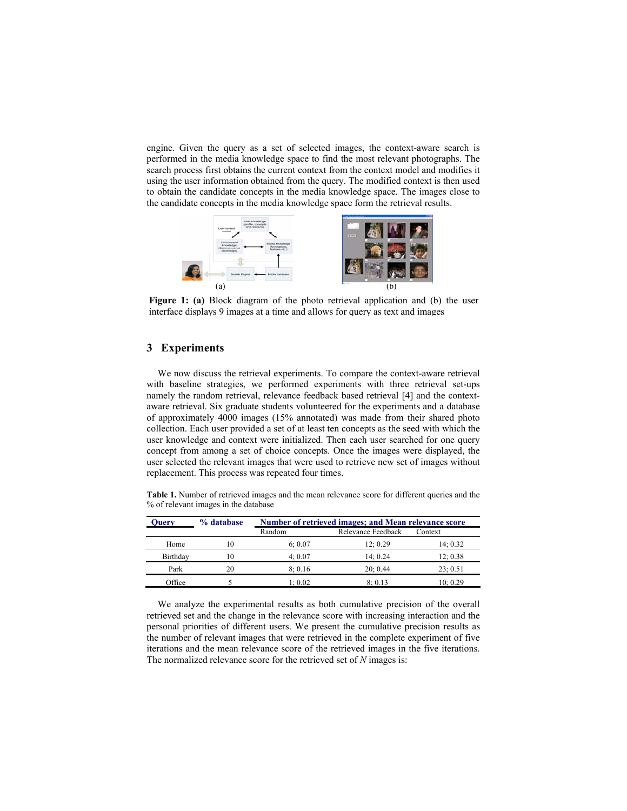engine. Given the query as a set of selected images, the context-aware search is performed in the media knowledge space to find the most relevant photographs. The search process first obtains the current context from the context model and modifies it using the user information obtained from the query. The modified context is then used to obtain the candidate concepts in the media knowledge space. The images close to the candidate concepts in the media knowledge space form the retrieval results.



Figure 1: (a) Block diagram of the photo retrieval application and (b) the user interface displays 9 images at a time and allows for query as text and images

# **3 Experiments**

We now discuss the retrieval experiments. To compare the context-aware retrieval with baseline strategies, we performed experiments with three retrieval set-ups namely the random retrieval, relevance feedback based retrieval [4] and the contextaware retrieval. Six graduate students volunteered for the experiments and a database of approximately 4000 images (15% annotated) was made from their shared photo collection. Each user provided a set of at least ten concepts as the seed with which the user knowledge and context were initialized. Then each user searched for one query concept from among a set of choice concepts. Once the images were displayed, the user selected the relevant images that were used to retrieve new set of images without replacement. This process was repeated four times.

**Table 1.** Number of retrieved images and the mean relevance score for different queries and the % of relevant images in the database

| Duerv    | % database | Number of retrieved images; and Mean relevance score |                    |          |
|----------|------------|------------------------------------------------------|--------------------|----------|
|          |            | Random                                               | Relevance Feedback | Context  |
| Home     | 10         | 6:0.07                                               | 12:0.29            | 14: 0.32 |
| Birthday | 10         | 4:0.07                                               | 14:0.24            | 12:0.38  |
| Park     | 20         | 8:0.16                                               | 20:0.44            | 23:0.51  |
| Office   |            | 1:0.02                                               | 8:0.13             | 10:0.29  |

We analyze the experimental results as both cumulative precision of the overall retrieved set and the change in the relevance score with increasing interaction and the personal priorities of different users. We present the cumulative precision results as the number of relevant images that were retrieved in the complete experiment of five iterations and the mean relevance score of the retrieved images in the five iterations. The normalized relevance score for the retrieved set of *N* images is: